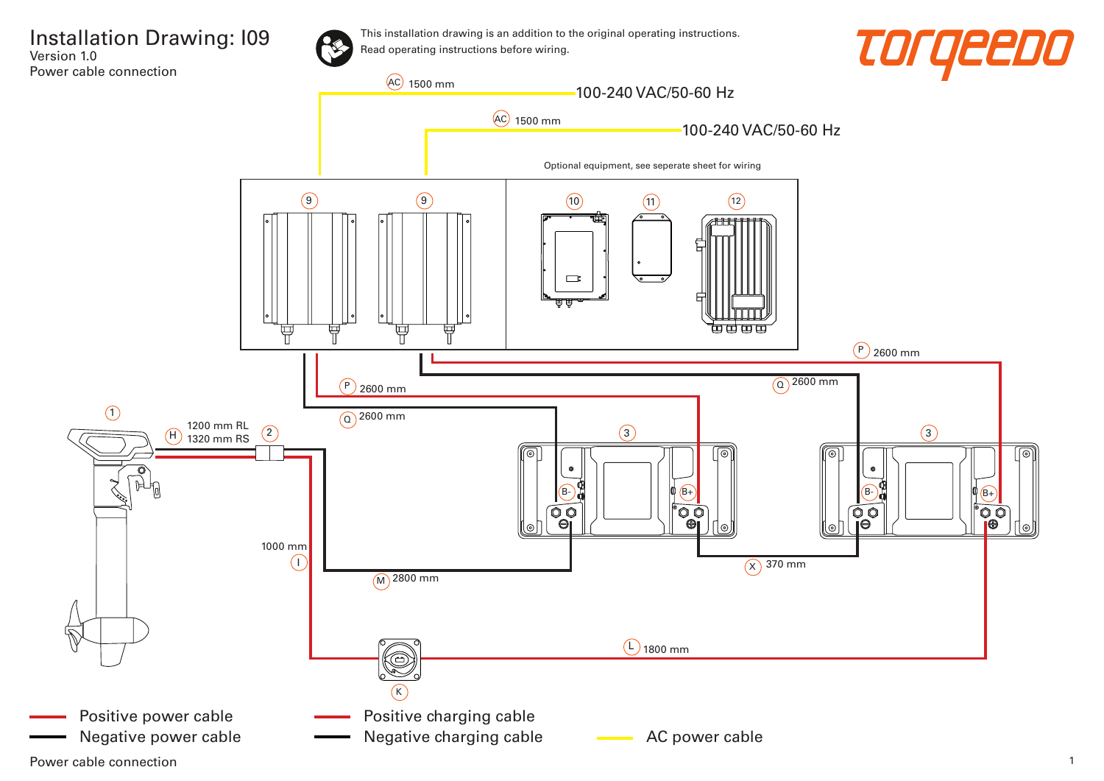





Power cable connection 2008 and 2008 and 2008 and 2008 and 2008 and 2008 and 2008 and 2008 and 2008 and 2008 and 2008 and 2008 and 2008 and 2008 and 2008 and 2008 and 2008 and 2008 and 2008 and 2008 and 2008 and 2008 and 2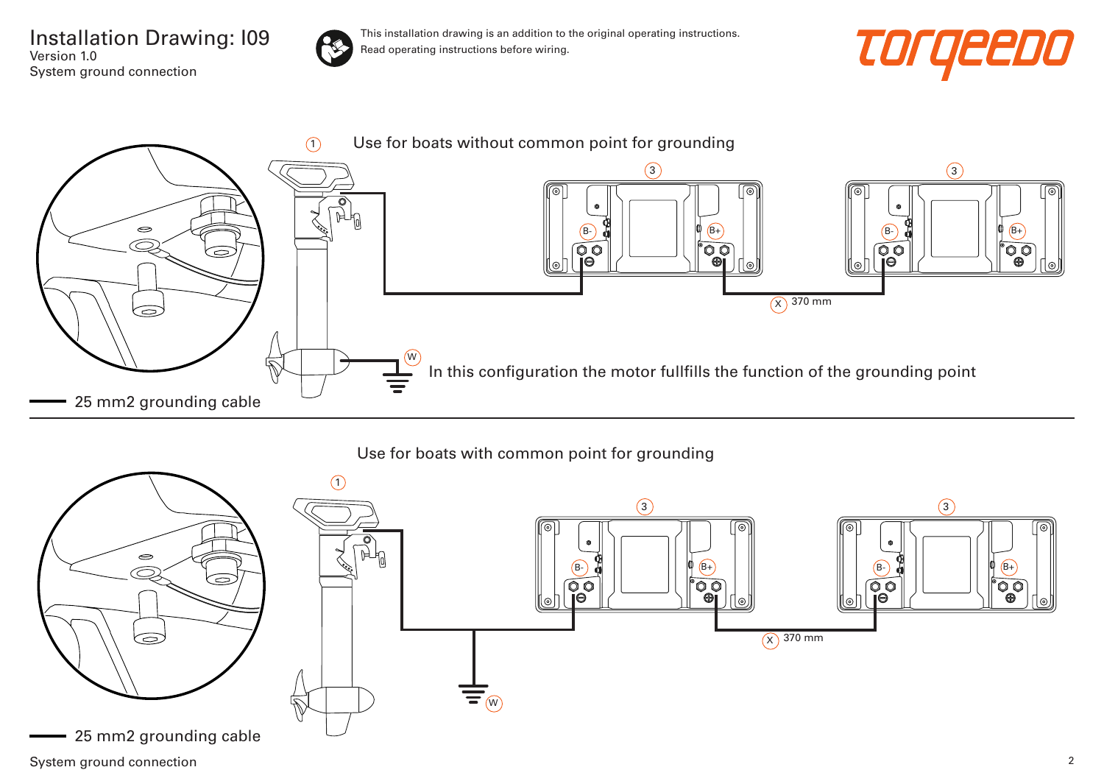Installation Drawing: I09 Version 1.0 System ground connection



This installation drawing is an addition to the original operating instructions. Read operating instructions before wiring.

![](_page_1_Picture_3.jpeg)

![](_page_1_Figure_4.jpeg)

## Use for boats with common point for grounding

![](_page_1_Figure_6.jpeg)

System ground connection 2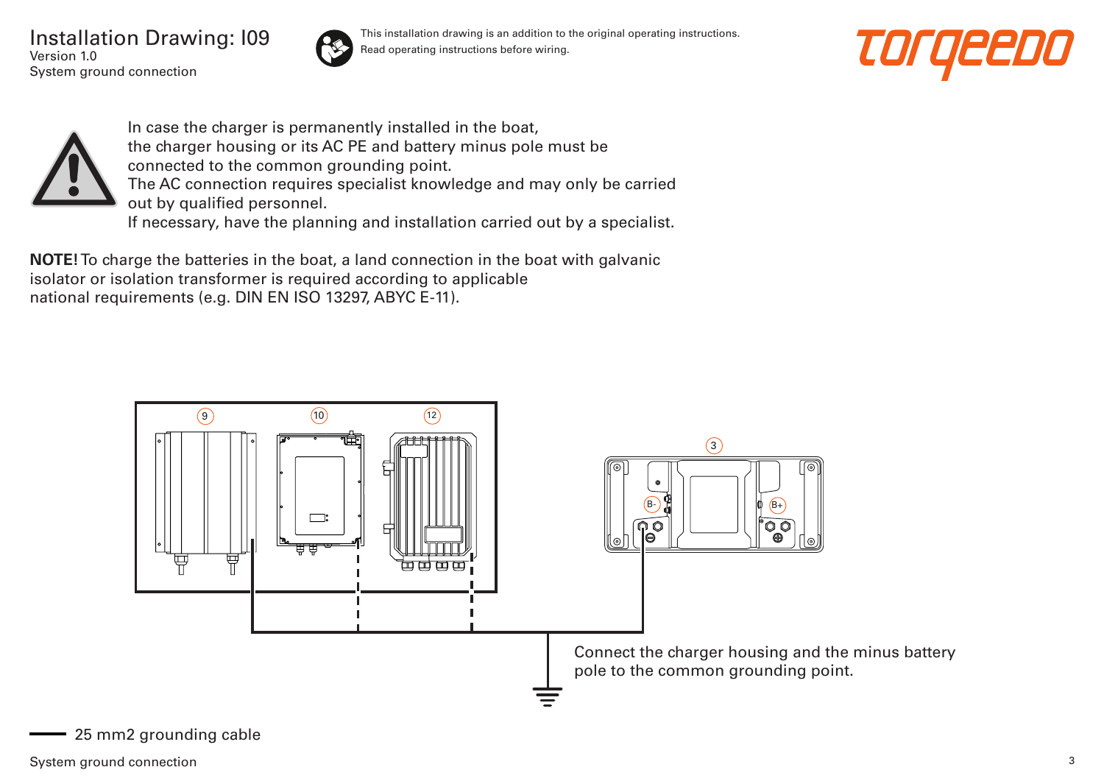Installation Drawing: I09 Version 1.0 System ground connection

![](_page_2_Picture_1.jpeg)

This installation drawing is an addition to the original operating instructions. Read operating instructions before wiring.

![](_page_2_Picture_3.jpeg)

![](_page_2_Picture_4.jpeg)

In case the charger is permanently installed in the boat, the charger housing or its AC PE and battery minus pole must be connected to the common grounding point. The AC connection requires specialist knowledge and may only be carried out by qualified personnel. If necessary, have the planning and installation carried out by a specialist.

**NOTE!** To charge the batteries in the boat, a land connection in the boat with galvanic isolator or isolation transformer is required according to applicable national requirements (e.g. DIN EN ISO 13297, ABYC E-11).

![](_page_2_Figure_7.jpeg)

25 mm2 grounding cable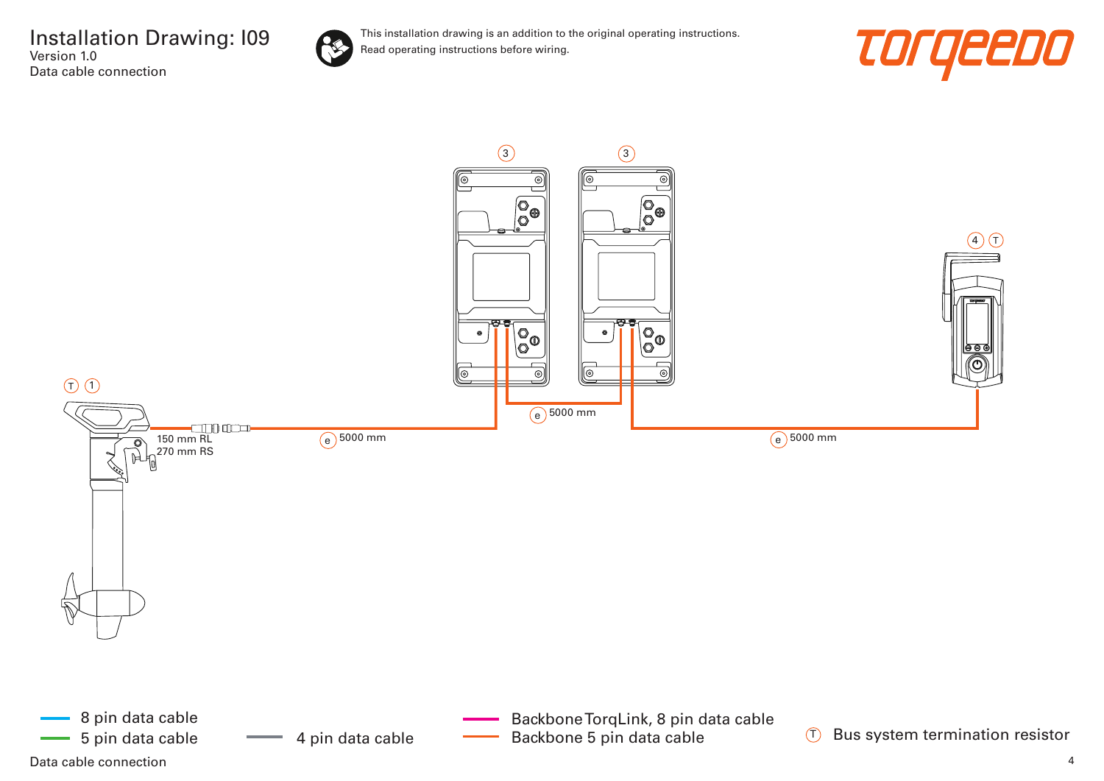![](_page_3_Picture_1.jpeg)

![](_page_3_Picture_3.jpeg)

![](_page_3_Figure_4.jpeg)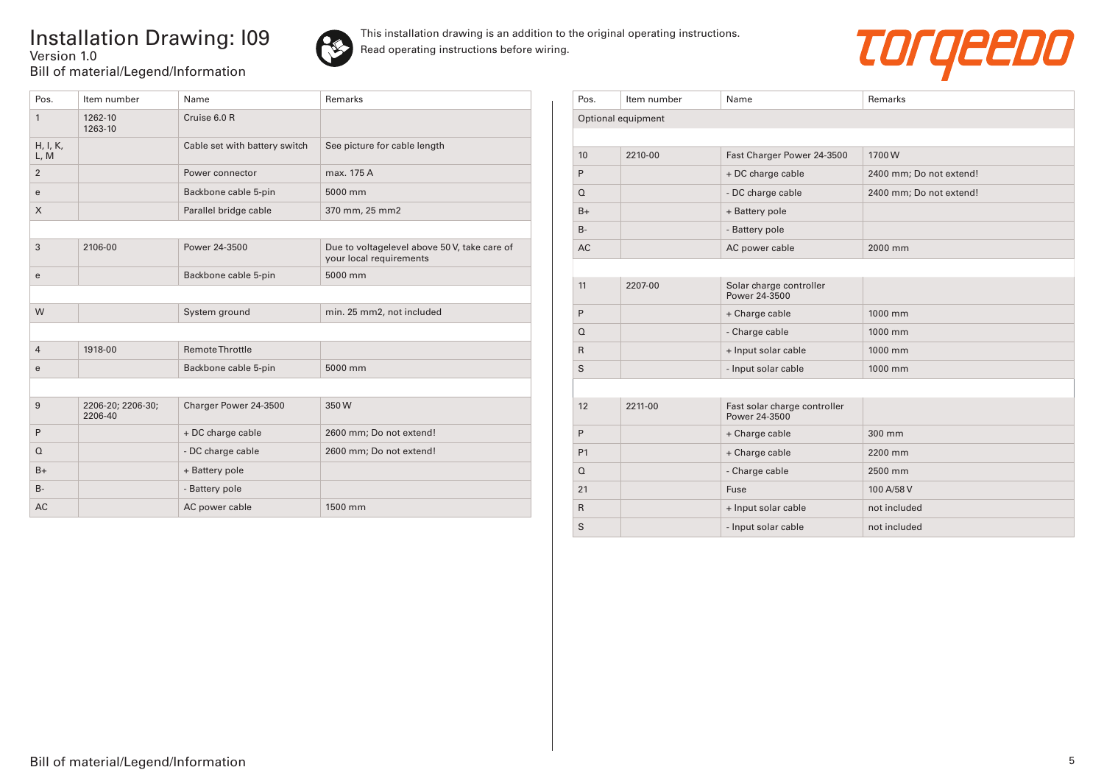## Installation Drawing: I09 Version 1.0 Bill of material/Legend/Information

![](_page_4_Picture_1.jpeg)

![](_page_4_Picture_3.jpeg)

| Pos.             | Item number                  | Name                          | Remarks                                                                 |
|------------------|------------------------------|-------------------------------|-------------------------------------------------------------------------|
| 1                | 1262-10<br>1263-10           | Cruise 6.0 R                  |                                                                         |
| H, I, K,<br>L, M |                              | Cable set with battery switch | See picture for cable length                                            |
| $\overline{2}$   |                              | Power connector               | max. 175 A                                                              |
| e                |                              | Backbone cable 5-pin          | 5000 mm                                                                 |
| $\times$         |                              | Parallel bridge cable         | 370 mm, 25 mm2                                                          |
|                  |                              |                               |                                                                         |
| 3                | 2106-00                      | Power 24-3500                 | Due to voltagelevel above 50 V, take care of<br>your local requirements |
| e                |                              | Backbone cable 5-pin          | 5000 mm                                                                 |
|                  |                              |                               |                                                                         |
| W                |                              | System ground                 | min. 25 mm2, not included                                               |
|                  |                              |                               |                                                                         |
| $\overline{4}$   | 1918-00                      | Remote Throttle               |                                                                         |
| e                |                              | Backbone cable 5-pin          | 5000 mm                                                                 |
|                  |                              |                               |                                                                         |
| 9                | 2206-20; 2206-30;<br>2206-40 | Charger Power 24-3500         | 350W                                                                    |
| P                |                              | + DC charge cable             | 2600 mm; Do not extend!                                                 |
| $\Omega$         |                              | - DC charge cable             | 2600 mm; Do not extend!                                                 |
| $B+$             |                              | + Battery pole                |                                                                         |
| $B -$            |                              | - Battery pole                |                                                                         |
| AC               |                              | AC power cable                | 1500 mm                                                                 |

| Pos.               | Item number | Name                                          | Remarks                 |  |  |  |
|--------------------|-------------|-----------------------------------------------|-------------------------|--|--|--|
| Optional equipment |             |                                               |                         |  |  |  |
|                    |             |                                               |                         |  |  |  |
| 10                 | 2210-00     | Fast Charger Power 24-3500                    | 1700W                   |  |  |  |
| P                  |             | + DC charge cable                             | 2400 mm; Do not extend! |  |  |  |
| $\Omega$           |             | - DC charge cable                             | 2400 mm; Do not extend! |  |  |  |
| $B+$               |             | + Battery pole                                |                         |  |  |  |
| $B -$              |             | - Battery pole                                |                         |  |  |  |
| <b>AC</b>          |             | AC power cable                                | 2000 mm                 |  |  |  |
|                    |             |                                               |                         |  |  |  |
| 11                 | 2207-00     | Solar charge controller<br>Power 24-3500      |                         |  |  |  |
| P                  |             | + Charge cable                                | 1000 mm                 |  |  |  |
| $\Omega$           |             | - Charge cable                                | 1000 mm                 |  |  |  |
| $\mathsf{R}$       |             | + Input solar cable                           | 1000 mm                 |  |  |  |
| S                  |             | - Input solar cable                           | 1000 mm                 |  |  |  |
|                    |             |                                               |                         |  |  |  |
| 12                 | 2211-00     | Fast solar charge controller<br>Power 24-3500 |                         |  |  |  |
| P                  |             | + Charge cable                                | 300 mm                  |  |  |  |
| P1                 |             | + Charge cable                                | 2200 mm                 |  |  |  |
| $\Omega$           |             | - Charge cable                                | 2500 mm                 |  |  |  |
| 21                 |             | Fuse                                          | 100 A/58 V              |  |  |  |
| $\mathsf{R}$       |             | + Input solar cable                           | not included            |  |  |  |
| S                  |             | - Input solar cable                           | not included            |  |  |  |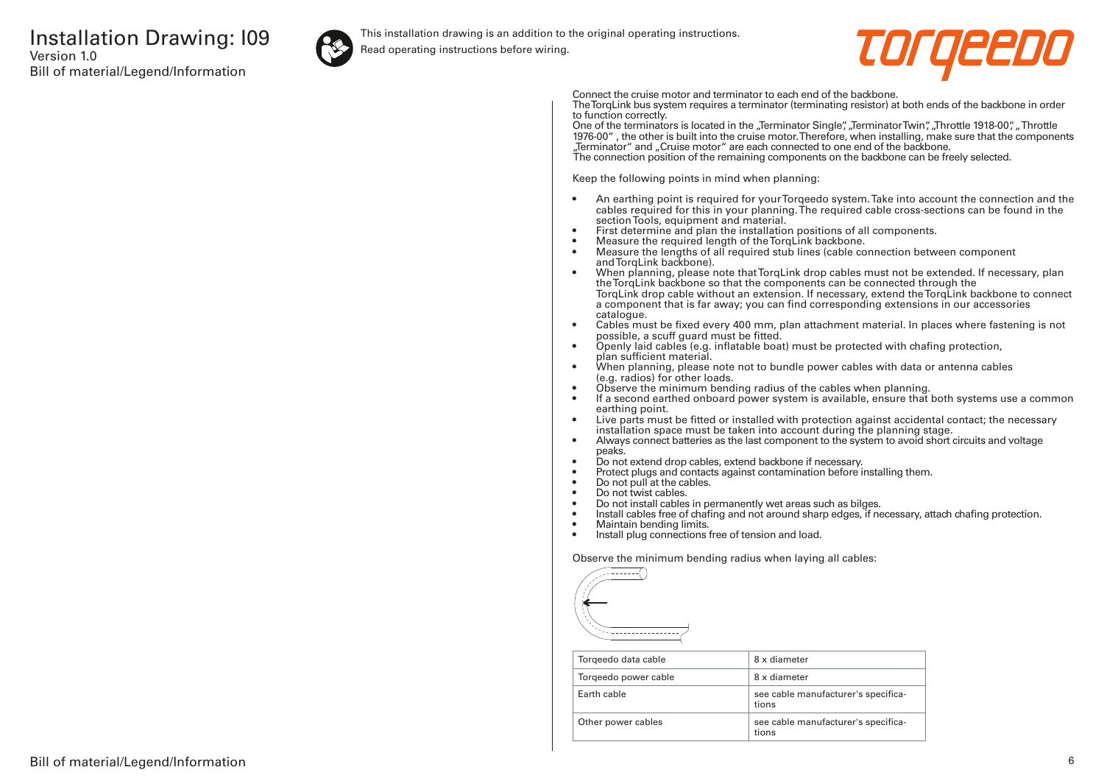![](_page_5_Picture_1.jpeg)

This installation drawing is an addition to the original operating instructions.

Read operating instructions before wiring.

![](_page_5_Picture_4.jpeg)

Connect the cruise motor and terminator to each end of the backbone.

The TorqLink bus system requires a terminator (terminating resistor) at both ends of the backbone in order to function correctly.

One of the terminators is located in the "Terminator Single", "Terminator Twin", "Throttle 1918-00", "Throttle 1976-00" , the other is built into the cruise motor. Therefore, when installing, make sure that the components "Terminator" and "Cruise motor" are each connected to one end of the backbone. The connection position of the remaining components on the backbone can be freely selected.

Keep the following points in mind when planning:

- An earthing point is required for your Torqeedo system. Take into account the connection and the cables required for this in your planning. The required cable cross-sections can be found in the section Tools, equipment and material.
- First determine and plan the installation positions of all components.
- Measure the required length of the TorqLink backbone.<br>• Measure the lengths of all required stub lines (cable co
- Measure the lengths of all required stub lines (cable connection between component and TorqLink backbone).
- When planning, please note that TorqLink drop cables must not be extended. If necessary, plan the TorqLink backbone so that the components can be connected through the TorqLink drop cable without an extension. If necessary, extend the TorqLink backbone to connect a component that is far away; you can find corresponding extensions in our accessories catalogue.
- Cables must be fixed every 400 mm, plan attachment material. In places where fastening is not possible, a scuff guard must be fitted.
- Openly laid cables (e.g. inflatable boat) must be protected with chafing protection, plan sufficient material.
- When planning, please note not to bundle power cables with data or antenna cables (e.g. radios) for other loads.
- Observe the minimum bending radius of the cables when planning.
- If a second earthed onboard power system is available, ensure that both systems use a common earthing point.
- Live parts must be fitted or installed with protection against accidental contact; the necessary installation space must be taken into account during the planning stage.
- Always connect batteries as the last component to the system to avoid short circuits and voltage peaks.
- Do not extend drop cables, extend backbone if necessary.
- Protect plugs and contacts against contamination before installing them.
- Do not pull at the cables.
- Do not twist cables.
- Do not install cables in permanently wet areas such as bilges.
- Install cables free of chafing and not around sharp edges, if necessary, attach chafing protection.<br>• Maintain bending limits
- Maintain bending limits.
- Install plug connections free of tension and load.

Observe the minimum bending radius when laying all cables:

![](_page_5_Figure_31.jpeg)

| Torgeedo data cable  | 8 x diameter                                 |
|----------------------|----------------------------------------------|
| Torgeedo power cable | 8 x diameter                                 |
| Farth cable          | see cable manufacturer's specifica-<br>tions |
| Other power cables   | see cable manufacturer's specifica-<br>tions |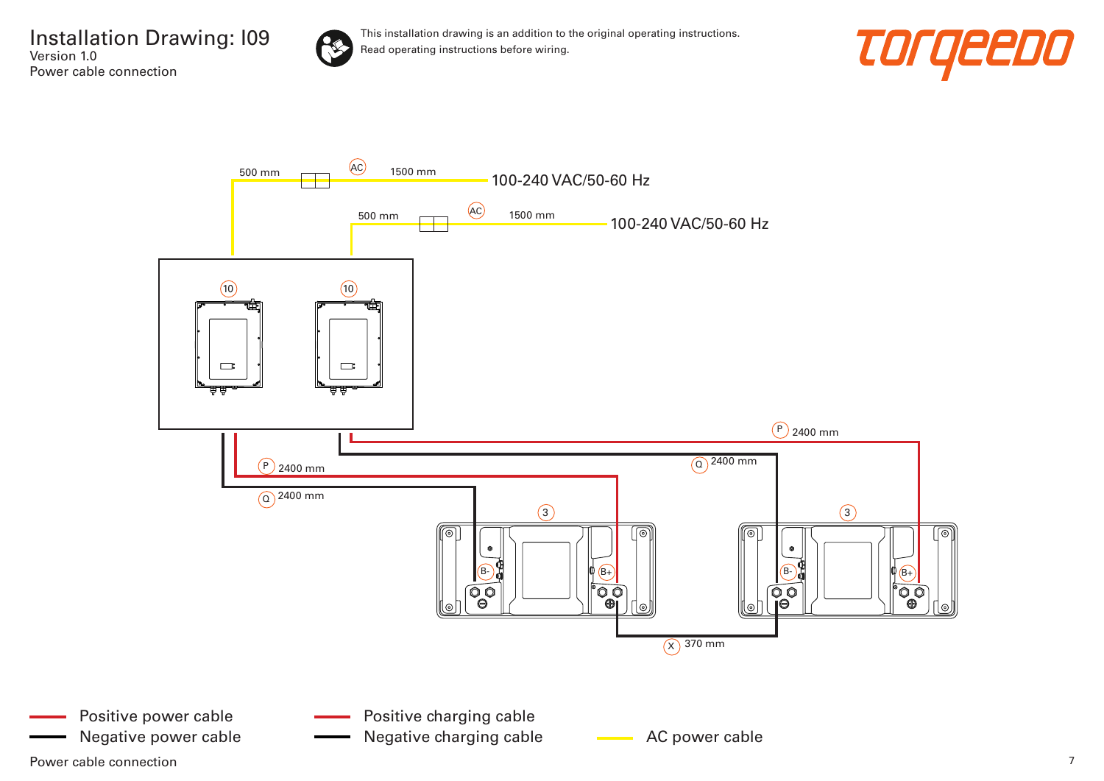![](_page_6_Picture_1.jpeg)

![](_page_6_Picture_3.jpeg)

![](_page_6_Figure_4.jpeg)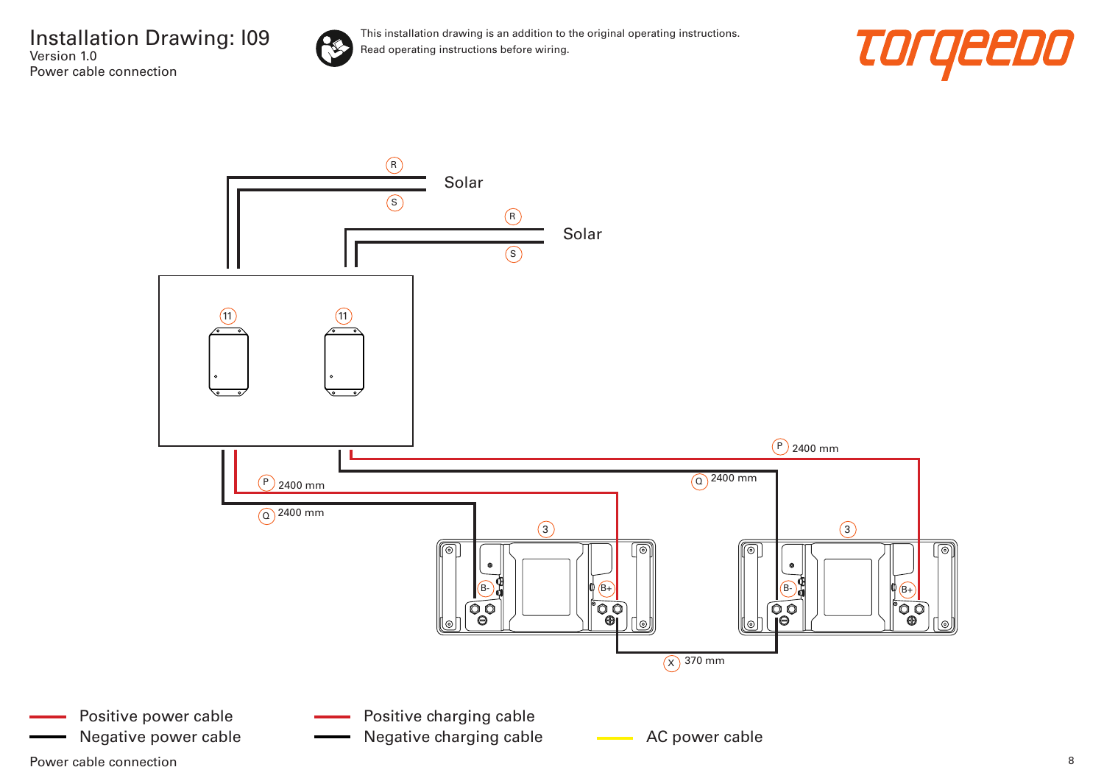![](_page_7_Picture_1.jpeg)

![](_page_7_Picture_3.jpeg)

![](_page_7_Figure_4.jpeg)